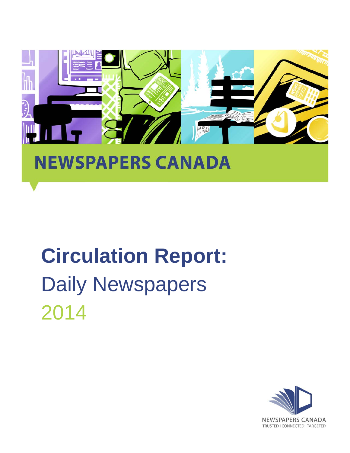

## **NEWSPAPERS CANADA**

## **Circulation Report:**  Daily Newspapers 2014

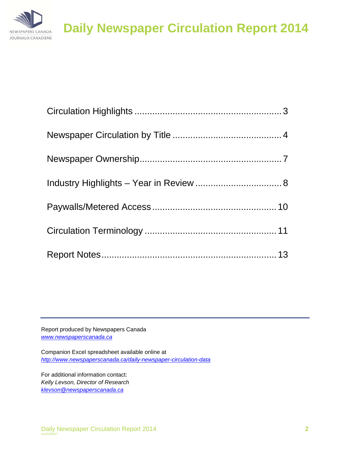

Report produced by Newspapers Canada *www.newspaperscanada.ca*

Companion Excel spreadsheet available online at *http://www.newspaperscanada.ca/daily-newspaper-circulation-data*

For additional information contact: *Kelly Levson, Director of Research klevson@newspaperscanada.ca*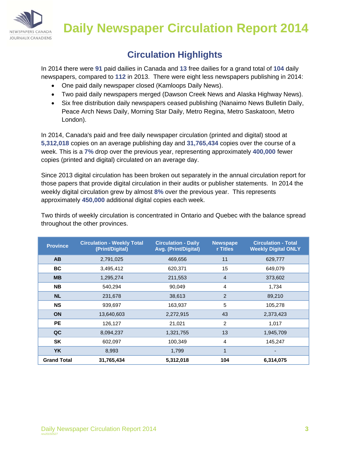

#### **Circulation Highlights**

In 2014 there were **91** paid dailies in Canada and **13** free dailies for a grand total of **104** daily newspapers, compared to **112** in 2013. There were eight less newspapers publishing in 2014:

- One paid daily newspaper closed (Kamloops Daily News).
- Two paid daily newspapers merged (Dawson Creek News and Alaska Highway News).
- Six free distribution daily newspapers ceased publishing (Nanaimo News Bulletin Daily, Peace Arch News Daily, Morning Star Daily, Metro Regina, Metro Saskatoon, Metro London).

In 2014, Canada's paid and free daily newspaper circulation (printed and digital) stood at **5,312,018** copies on an average publishing day and **31,765,434** copies over the course of a week. This is a **7%** drop over the previous year, representing approximately **400,000** fewer copies (printed and digital) circulated on an average day.

Since 2013 digital circulation has been broken out separately in the annual circulation report for those papers that provide digital circulation in their audits or publisher statements. In 2014 the weekly digital circulation grew by almost **8%** over the previous year. This represents approximately **450,000** additional digital copies each week.

Two thirds of weekly circulation is concentrated in Ontario and Quebec with the balance spread throughout the other provinces.

| <b>Province</b>    | <b>Circulation - Weekly Total</b><br>(Print/Digital) | <b>Circulation - Daily</b><br>Avg. (Print/Digital) | <b>Newspape</b><br>r Titles | <b>Circulation - Total</b><br><b>Weekly Digital ONLY</b> |
|--------------------|------------------------------------------------------|----------------------------------------------------|-----------------------------|----------------------------------------------------------|
| <b>AB</b>          | 2,791,025                                            | 469,656                                            | 11                          | 629,777                                                  |
| <b>BC</b>          | 3,495,412                                            | 620,371                                            | 15                          | 649,079                                                  |
| <b>MB</b>          | 1,295,274                                            | 211,553                                            | $\overline{4}$              | 373,602                                                  |
| <b>NB</b>          | 540,294                                              | 90,049                                             | 4                           | 1,734                                                    |
| <b>NL</b>          | 231,678                                              | 38,613                                             | $\overline{2}$              | 89,210                                                   |
| <b>NS</b>          | 939,697                                              | 163,937                                            | 5                           | 105,278                                                  |
| <b>ON</b>          | 13,640,603                                           | 2,272,915                                          | 43                          | 2,373,423                                                |
| <b>PE</b>          | 126,127                                              | 21,021                                             | 2                           | 1,017                                                    |
| QC                 | 8,094,237                                            | 1,321,755                                          | 13                          | 1,945,709                                                |
| <b>SK</b>          | 602,097                                              | 100,349                                            | 4                           | 145,247                                                  |
| <b>YK</b>          | 8,993                                                | 1,799                                              | 1                           |                                                          |
| <b>Grand Total</b> | 31,765,434                                           | 5,312,018                                          | 104                         | 6,314,075                                                |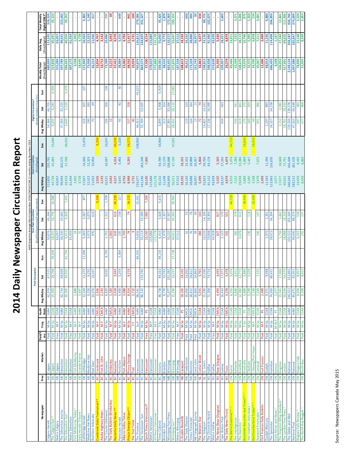# 2014 Daily Newspaper Circulation Report **2014 Daily Newspaper Circulation Report**

|                                                            |                                                                                                                                                                                                                                                                                                                                                                                                                                                                      |              |                                                   |                     |                 |                  | <b>AAM</b> |                    |                |                  |                    | Snapshot Average March-September 2014/CMCA/CCAB 12 months ending December 2014<br>Non Paid Circulation |         |                 |                                                  |                                 |                               |                                 |
|------------------------------------------------------------|----------------------------------------------------------------------------------------------------------------------------------------------------------------------------------------------------------------------------------------------------------------------------------------------------------------------------------------------------------------------------------------------------------------------------------------------------------------------|--------------|---------------------------------------------------|---------------------|-----------------|------------------|------------|--------------------|----------------|------------------|--------------------|--------------------------------------------------------------------------------------------------------|---------|-----------------|--------------------------------------------------|---------------------------------|-------------------------------|---------------------------------|
|                                                            |                                                                                                                                                                                                                                                                                                                                                                                                                                                                      |              |                                                   |                     |                 | Paid Circulation |            | (Qualified/S       | oonsored/Free, | <b>h</b> trolled |                    | (Print/Digital)                                                                                        |         | (already        | Circ)<br>Digital Circulation<br>induded in Total |                                 |                               |                                 |
| Newspape                                                   | Market<br>Prov                                                                                                                                                                                                                                                                                                                                                                                                                                                       | Paid/F       | Freq.                                             | Audit<br>Basis      | Avg Wkday       | Sat              | Sun        | Avg Wkday          | Sat            | Sur,             | Avg Wkday          | Sat                                                                                                    | Sun     | Avg Wkday       | Sur,<br>Sat                                      | Weekly Total<br>(Print/Digital) | (Print/Digital)<br>Daily Avg. | <b>Total Weekly</b>             |
| Calgary Herald                                             | Kue<br>₹                                                                                                                                                                                                                                                                                                                                                                                                                                                             | ree          | B <sub>S</sub> -M                                 | <b>AAM</b>          | 62,974          | 67,515           |            | 50,876             | 43,246         |                  | 113,850            | 110,76                                                                                                 |         | 54.366          | 46,705                                           | 680,009                         | 113,335                       | <b>Pigital ONLY*</b><br>818,535 |
| The Calgary Sun                                            | VueBle:<br>₽                                                                                                                                                                                                                                                                                                                                                                                                                                                         | Paid         | $M-Su$                                            | CCAB                | 25,403          | 28,708           | 39,604     | 18,331             | 16,776         | 16,080           | 43,734             | 45,484                                                                                                 | 55,684  | 6,505           | 6,281                                            | 319,838<br>6,304                | 45,691                        | 45,110                          |
| The Edmonton Journal<br>Metro Calgary                      | Edmonton<br>Calgary<br>₽<br>æ                                                                                                                                                                                                                                                                                                                                                                                                                                        | Paid<br>Free | $M-Sa$<br>$\frac{1}{2}$                           | CCAB<br><b>AAM</b>  | 62,714          | 68,928           |            | 36,330<br>63,057   | 33,643         |                  | 99,044<br>63,057   | 102,571                                                                                                |         | 37,504          | 35,522                                           | 597,789<br>315,284              | 99,631<br>63,057              | 223,042                         |
| The Edmonton Sun                                           | Edmonton<br>$\overline{AB}$                                                                                                                                                                                                                                                                                                                                                                                                                                          | Paid         | $M-Su$                                            | CCAB                | 30,305          | 30,920           | 41,754     | 9,613              | 6,828          | 7,601            | 39,918             | 37,748                                                                                                 | 49,355  | 5,649           | 5,529                                            | 286,693<br>5,478                | 40,956                        | 39,252                          |
| Metro Edmonton                                             | Edmonton<br>₹                                                                                                                                                                                                                                                                                                                                                                                                                                                        | Free         | $\frac{1}{2}$                                     | CCAB                |                 |                  |            | 61,434             |                |                  | 61,434             |                                                                                                        |         |                 |                                                  | 307,172                         | 61,434                        |                                 |
| Fort McMurray Today                                        | Fort McMurray<br>ą                                                                                                                                                                                                                                                                                                                                                                                                                                                   | Paid         | $\frac{1}{2}$                                     | <b>AAM</b>          | 1,888           |                  |            | $\overline{4}$     |                |                  | 1,902              |                                                                                                        |         |                 |                                                  | 9,508                           | 1,902                         |                                 |
| Daily Herald-Tribune                                       | Grande Prairie<br>æ                                                                                                                                                                                                                                                                                                                                                                                                                                                  | Paid         | $\stackrel{\scriptscriptstyle{\mathsf{L}}}{\geq}$ | <b>AAM</b>          | 3,697           |                  |            | ᠷ                  |                |                  | 3,728              |                                                                                                        |         |                 |                                                  | 18,640                          | 3,728                         |                                 |
| ethbridge Herald                                           | Lethbridge<br>₽                                                                                                                                                                                                                                                                                                                                                                                                                                                      | Paid         | $M-Su$                                            | <b>AAM</b>          | 12,524          | 12,273           | 11,093     | 5,403              | 2,067          | $\overline{5}$   | 17,927             | 14,340                                                                                                 | 11,970  | 326             | 325                                              | 115,942<br>327                  | 16,563                        | 2,282                           |
| Medicine Hat News                                          | Medicine Hat<br>$\overline{AB}$                                                                                                                                                                                                                                                                                                                                                                                                                                      | Paid         | $M-Sa$                                            | <b>AAM</b>          | 9,250           | 9,250            |            | 3,073              | 3,073          |                  | 12,323             | 12,323                                                                                                 |         | 190             | 190                                              | 73,938                          | 12,323                        | 1,140                           |
| ranbrook Daily Townsman^^<br>Red Deer Advocate             | Cranbrook<br>Red Deer<br>₹                                                                                                                                                                                                                                                                                                                                                                                                                                           | Paid<br>Paid | $M-Sa$                                            | CMCA<br><b>AAM</b>  | 2,926<br>10,076 | 10,347           |            | 976                | 610            |                  | 11,052             | 10,956                                                                                                 |         | 20              | ශ                                                | 66,214<br>23,834                | 11,036<br>4,767               | 417                             |
| Alaska Highway News                                        | Fort St. Johr<br>96<br>9G                                                                                                                                                                                                                                                                                                                                                                                                                                            | Paid         | $\frac{1}{2}$<br>"×                               | CMCA                | 2,143           |                  |            |                    |                | 9,204            | 2,926<br>2,143     |                                                                                                        | 9,204   |                 |                                                  | 10,715                          | 2,143                         |                                 |
| The Courier (Kelowna)                                      | Kelowna<br>8C                                                                                                                                                                                                                                                                                                                                                                                                                                                        | Paid         | $M-Su$                                            | <b>AAM</b>          | 8,820           | 9,035            | 8,739      | 1,701              | 1,512          | 1,509            | 10,521             | 10,547                                                                                                 | 10,247  | 106             | 106                                              | 73,399<br>104                   | 10,486                        | 737                             |
| The Daily Bulletin (Kimberley)                             | (imberle<br>မ                                                                                                                                                                                                                                                                                                                                                                                                                                                        | Paid         | $\frac{1}{2}$                                     | CMCA                | 1,183           |                  |            | 1,860              |                |                  | 3,043              |                                                                                                        |         | $\mathbf{r}$    |                                                  |                                 | 3,043                         | 3                               |
| lanaimo Daily News ^'                                      | lanaimo<br>မ္မ                                                                                                                                                                                                                                                                                                                                                                                                                                                       | Paid         | $M-Sa$                                            | <b>AAM</b>          | 3,918           | 3,945            |            | 610                | 610            | 30,230           | 4,527              | 4,554                                                                                                  | 30,230  |                 |                                                  | $\frac{15,215}{57,421}$         | 9,570                         |                                 |
| Penticton Herald                                           | Penticton<br>BC                                                                                                                                                                                                                                                                                                                                                                                                                                                      | Paid         | $M-Su$                                            | <b>AAM</b>          | 5,400           | 5,254            | 5,004      | 235                | 238            | 217              | 5,635              | 5,492                                                                                                  | 5,220   | $\overline{93}$ | 95                                               | 38,884<br>95                    | 5,555                         | 649                             |
| Alberni Valley Times                                       | <b>Port Albern</b><br>မ္တ                                                                                                                                                                                                                                                                                                                                                                                                                                            | Paid         | ž                                                 | <b>AAM</b>          | 3,088           |                  |            | 1,705              |                |                  | 4,793              |                                                                                                        |         |                 |                                                  | 23,965                          | 4,793                         |                                 |
| rince George Citizen^^                                     | Prince George<br>9C                                                                                                                                                                                                                                                                                                                                                                                                                                                  | Paid         | $M-Sa$                                            | <b>AAM</b>          | 8,914           | 9,219            |            | 74                 | 74             | 14,272           | 8,988              | 9,293                                                                                                  | 14,272  | 157             | 158                                              | 68,502                          | 11,417                        | 941                             |
| The Trail Times                                            | ē<br>BC                                                                                                                                                                                                                                                                                                                                                                                                                                                              | Paid         | 뿝                                                 | CMCA                | 2,722           |                  |            | m                  |                |                  | 2,731              |                                                                                                        |         | ą               |                                                  | 10,924                          | 2,731                         | <b>160</b>                      |
| The Province                                               | lancouver<br>မိ                                                                                                                                                                                                                                                                                                                                                                                                                                                      | Paid         | $5u - F$                                          | <b>AAM</b>          | 68,541          |                  | 86,931     | 55,836             |                | 52,061           | 124,377            |                                                                                                        | 138,992 | 46,913          | 45,023                                           | 760,874                         | 126,812                       | 279,586                         |
| The Vancouver Sun                                          | /ancouver<br>96                                                                                                                                                                                                                                                                                                                                                                                                                                                      | Paid         | $M-Sa$                                            | <b>AAM</b>          | 86,132          | 110,745          |            | 55,114             | 52,599         |                  | 141,246            | 163,344                                                                                                |         | 55,704          | 53,007                                           | 869,571                         | 144,929                       | 331,527                         |
| Epoch Times (Vancouver)^                                   | <b>Jancouver</b><br>မင                                                                                                                                                                                                                                                                                                                                                                                                                                               | Free         | M-Su                                              | 5                   |                 |                  |            | 10,100             | 7,000          | 7,000            | 10,100             | 7,000                                                                                                  |         |                 |                                                  | 57,500                          | 8,214                         |                                 |
| 24 Hours Vancouver<br><b>Metro Vancouver</b>               | Vancouver<br>/ancouve<br>8C<br>9C                                                                                                                                                                                                                                                                                                                                                                                                                                    | Free<br>Free | $\frac{1}{2}$<br>$\frac{1}{2}$                    | <b>CCAB</b><br>CCAB |                 |                  |            | 115,684<br>115,178 |                |                  | 115,684<br>115,178 |                                                                                                        |         |                 |                                                  | 578,419<br>575,889              | 115,684<br>115,178            |                                 |
| imes Colonist                                              | <b>/ictoria</b><br>8C                                                                                                                                                                                                                                                                                                                                                                                                                                                | Paid         | T-Su                                              | <b>AAM</b>          | 48,738          | 49,162           | 49,233     | 6,415              | 5,628          | 5,672            | 55,152             | 54,789                                                                                                 | 54,904  | 5,899           | 5,908                                            | 330,301<br>5,919                | 55,050                        | 35,420                          |
| <b>Brandon Sun</b>                                         | Brandon<br>€                                                                                                                                                                                                                                                                                                                                                                                                                                                         | Paid         | $M-Su$                                            | <b>AAM</b>          | 8,770           | 10,743           |            | 2,479              | 1,427          |                  | 11,248             | 12,170                                                                                                 |         | 313             | 314                                              | 68,410                          | 9,773                         | 1,879                           |
| <b>Ninnipeg Free Press</b>                                 | Winnipeg<br>$\overline{\mathbf{B}}$                                                                                                                                                                                                                                                                                                                                                                                                                                  | Paid         | $M-Sa$                                            | <b>AAM</b>          | 71,677          | 101,382          |            | 33,232             | 37,507         |                  | 104,909            | 138,888                                                                                                |         | 27,901          | 33,066                                           | 663,431                         | 110,572                       | 172,569                         |
| Winnipeg Sun ~                                             | Winnipeg<br>€                                                                                                                                                                                                                                                                                                                                                                                                                                                        | Paid         | $M-Su$                                            | <b>CCAB</b>         | 15,290          | 16,537           | 17,728     | 40,921             | 30,593         | 29,963           | 56,211             | 47,130                                                                                                 | 47,691  | 28,610          | 27,983<br>28,122                                 | 375,876                         | 53,697                        | 199,155                         |
| Metro Winnipeg                                             | Winnipeg<br>gм                                                                                                                                                                                                                                                                                                                                                                                                                                                       | Free         | $\frac{1}{2}$                                     | CCAB                |                 |                  |            | 37,512             |                |                  | 37,512             |                                                                                                        |         |                 |                                                  | 187,558                         | 37,512                        |                                 |
| 'Acadie Nouvelle                                           | Caraquet<br>₽                                                                                                                                                                                                                                                                                                                                                                                                                                                        | Paid         | $M-Sa$                                            | ష                   | 18,102          | 18,102           |            |                    |                |                  | 18,102             | 18,102                                                                                                 |         |                 |                                                  | 108,612                         | 18,102                        |                                 |
| The Daily Gleaner                                          | Fredericton<br>₽                                                                                                                                                                                                                                                                                                                                                                                                                                                     | Paid         | $M-Sa$                                            | CMCA                | 16,050          | 16,050           |            | 52                 | 52             |                  | 16,102             | 16,102                                                                                                 |         | <b>110</b>      | 110                                              | 96,612                          | 16,102                        | 660                             |
| imes-Transcript                                            | Moncton<br>$\mathbf{B}$                                                                                                                                                                                                                                                                                                                                                                                                                                              | Paid         | M-Sa                                              | CMCA                | 28,812          | 28,812           |            | 76                 |                |                  | 28,888             | 28,888                                                                                                 |         | 164             | 164                                              | 173,328                         | 28,888                        | 984                             |
| NB Telegraph Journa                                        | Saint John<br>g                                                                                                                                                                                                                                                                                                                                                                                                                                                      | Paid         | $M-Sa$                                            | CCAB<br>CMCA        | 26,863          | 26,863           |            | 94                 | $\overline{5}$ |                  | 5,399<br>26,957    | 5,868<br>26,957                                                                                        |         | 15              | $\frac{15}{2}$<br>$\mathbf{z}$                   | 161,742                         | 26,957                        | g                               |
| The Western Star<br>The Telegram                           | Corner Brook<br>it. John's<br>ź<br>$\overline{z}$                                                                                                                                                                                                                                                                                                                                                                                                                    | Paid<br>Paid | $N-Sa$<br>$M-Sa$                                  | CCAB                | 5,015           | 25,596<br>5,765  |            | 16,533<br>384      | 14,104<br>103  |                  | 31,823             | 39,700                                                                                                 |         | 14,825<br>2     | 14,651                                           | 32,863<br>198,815               | 33,136<br>5,477               | 88,776<br>434                   |
| The Chronicle-Herald                                       | kejllek<br>š                                                                                                                                                                                                                                                                                                                                                                                                                                                         | Paid         | $M-Sa$                                            | <b>AAM</b>          | 71,304          | 74,724           |            | 19,848             | 18,454         |                  | 91,152             | 93,178                                                                                                 |         | 17,136          | 16,995                                           | 548,938                         | 91,490                        | 102,675                         |
| Metro Halifax                                              | Halifax<br>$\frac{2}{5}$                                                                                                                                                                                                                                                                                                                                                                                                                                             | Free         | $\frac{1}{2}$                                     | CCAB                |                 |                  |            | 43,928             |                |                  | 43,928             |                                                                                                        |         |                 |                                                  | 219,638                         | 43,928                        |                                 |
| The News (New Glasgow)                                     | <b>New Glasgow</b><br>š                                                                                                                                                                                                                                                                                                                                                                                                                                              | Paid         | $M-Sa$                                            | CMCA                | 4,493           | 4,493            |            | 827                | 827            |                  | 5,320              | 5,320                                                                                                  |         |                 |                                                  | 31,920                          | 5,320                         |                                 |
| Cape Breton Post                                           | sydney<br>SN                                                                                                                                                                                                                                                                                                                                                                                                                                                         | Paid         | $M-Sa$                                            | CCAB                | 16,414          | 17,072           |            | 2,123              | 170            |                  | 18,537             | 17,242                                                                                                 |         | 434             | 433                                              | 109,927                         | 18,321                        | 2,603                           |
| The Daily News (Truro)<br>he Barrie Examiner^^             | ruro<br><b>Barrie</b><br>š<br>ž                                                                                                                                                                                                                                                                                                                                                                                                                                      | Paid<br>Paid | $M-Sa$<br>$M-Sa$                                  | CMCA<br>CCAB        | 4,378<br>6,553  | 5,974<br>4,378   |            | 501                | 501            | 44,729           | 4,879<br>6,553     | 5,974<br>4,879                                                                                         | 44,729  |                 |                                                  | 29,274<br>83,466                | 13,911<br>4,879               |                                 |
| The Intelligencer~                                         | <b>Belleville</b><br>$\overline{6}$                                                                                                                                                                                                                                                                                                                                                                                                                                  | Paid         | $M-Sa$                                            | CCAB                | 6,840           | 6,911            |            | 382                | 378            |                  | 7,222              | 7,289                                                                                                  |         | 546             | 541                                              | 43,399                          | 7,233                         | 3,271                           |
| The Expositor ~                                            | Brantford<br>š                                                                                                                                                                                                                                                                                                                                                                                                                                                       | Paid         | $M-Sa$                                            | CCAB                | 12,382          | 12,773           |            | 6,676              | 613            |                  | 19,058             | 13,386                                                                                                 |         | 619             | 601                                              | 108,676                         | 18,113                        | 3,696                           |
| Brockville Recorder and Times <sup>NA</sup>                | <b>Brockville</b><br>$\overline{6}$                                                                                                                                                                                                                                                                                                                                                                                                                                  | Paid         | T-Sa                                              | ρS                  | 5,889           | 5,889            |            |                    |                | 18,645           | 5,889              | 5,889                                                                                                  | 18,645  | 175             | 175                                              | 53,979                          | 10,796                        | 875                             |
| The Chatham Daily News                                     | Chatham<br>š                                                                                                                                                                                                                                                                                                                                                                                                                                                         | Paid         | $N-Sa$                                            | CCAB                | 5,249           | 5,329            |            | 136                | 118            |                  | 5,385              | 5,447                                                                                                  |         | 260             | 259                                              | 32,372                          | 5,395                         | 1,559                           |
| Northumberland Today <sup>NA</sup>                         | Cobourg/Port Hope<br>š                                                                                                                                                                                                                                                                                                                                                                                                                                               | Paid         | $\frac{4}{5}$                                     | CMCA                | 3,168           |                  |            |                    |                | 18,450           | 3,168              |                                                                                                        | 18,450  | 44              |                                                  | 34,290                          | 6,858                         | 220                             |
| Standard-Freeholder                                        | Cornwal<br>$\overline{6}$                                                                                                                                                                                                                                                                                                                                                                                                                                            | Paid         | N-Sa                                              | CCAB                | 7,329           | 7,525            |            | 150                | 147            |                  | 7,479              | 7,672                                                                                                  |         | 501             | 496                                              | 45,067                          | 7,511                         | 3,001                           |
| Fort Frances Daily Bulletin<br>Guelph Mercury              | Fort Frances<br>Guelph<br>š<br>$\overline{6}$                                                                                                                                                                                                                                                                                                                                                                                                                        | Paid<br>Paid | $M-Sa$<br>"⊾<br>≱                                 | CCAB<br>ρS          | 2,499<br>9,371  | 9,948            |            | 1,972              | 1,351          |                  | 2,499<br>11,343    | 11,299                                                                                                 |         | 1,197           | 895                                              | 12,496<br>68,014                | 2,499<br>11,336               | 6,880                           |
| The Spectator                                              | Hamilton<br>š                                                                                                                                                                                                                                                                                                                                                                                                                                                        | Paid         | $M-Sa$                                            | CCAB                | 74,950          | 80,431           |            | 39,013             | 36,204         |                  | 113,963            | 116,635                                                                                                |         | 34,527          | 34,258                                           | 686,450                         | 114,408                       | 206,893                         |
| Daily Miner and News                                       | Kenora<br>š                                                                                                                                                                                                                                                                                                                                                                                                                                                          | Paid         | M-W,F                                             | 2q                  | 2,077           |                  |            |                    |                |                  | 2,077              |                                                                                                        |         |                 |                                                  | 8,308                           | 1,187                         |                                 |
| The Kingston Whig-Standard                                 | Kingston<br>$\mathsf{S}% _{T}=\mathsf{S}_{T}\!\left( a,b\right) ,\ \mathsf{S}_{T}=\mathsf{S}_{T}\!\left( a,b\right) ,\ \mathsf{S}_{T}=\mathsf{S}_{T}\!\left( a,b\right) ,\ \mathsf{S}_{T}=\mathsf{S}_{T}\!\left( a,b\right) ,\ \mathsf{S}_{T}=\mathsf{S}_{T}\!\left( a,b\right) ,\ \mathsf{S}_{T}=\mathsf{S}_{T}\!\left( a,b\right) ,\ \mathsf{S}_{T}=\mathsf{S}_{T}\!\left( a,b\right) ,\ \mathsf{S}_{T}=\mathsf{S}_{T}\!\left( a,b\right) ,\ \mathsf{S}_{T}=\math$ | Paid         | $N-Sa$                                            | CCAB                | 15,341          | 17,006           |            | 1,736              | 1,662          |                  | 17,077             | 18,668                                                                                                 |         | 2,152           | 2,081                                            | 104,053                         | 17,342                        | 12,841                          |
| The London Free Press                                      | ndon-<br>š                                                                                                                                                                                                                                                                                                                                                                                                                                                           | Paid         | $M-Sa$                                            | <b>CCAB</b>         | 50,034          | 54,573           |            | 18,988             | 18,218         |                  | 69,022             | 72,791                                                                                                 |         | 18,701          | 18,431                                           | 417,901                         | 69,650                        | 111,936                         |
| The Globe and Mail                                         | National<br>$\overline{6}$                                                                                                                                                                                                                                                                                                                                                                                                                                           | Paid         | $N-Sa$                                            | <b>AAM</b>          | 244,021         | 312,865          |            | 102,522            | 103,544        |                  | 346,543            | 416,409                                                                                                |         | 139,534         | 139,076                                          | 2,149,124                       | 358,187                       | 836,746                         |
| National Post                                              | National<br>ð                                                                                                                                                                                                                                                                                                                                                                                                                                                        | Paid         | $M-Sa$                                            | <b>AAM</b>          | 8,034<br>83,671 | 92,951           |            | 99,440             | 88,574         |                  | 183,111            | 181,525<br>8,595                                                                                       |         | 47,610          | 36,649                                           | 1,097,080                       | 182,847                       | 274,699                         |
| The North Bay Nugget <sup>~</sup><br>Niagara Falls Review~ | Niagara Falls<br>North Bay<br>$\frac{2}{5}$                                                                                                                                                                                                                                                                                                                                                                                                                          | Paid         | $M-Sa$<br>N-Sa                                    | CCAB<br>CCAB        | 8,208           | 8,057<br>8,623   |            | 6,025<br>231       | 538<br>237     |                  | 14,059<br>8,439    | 8,860                                                                                                  |         | 587<br>477      | 585<br>468                                       | 78,890                          | 13,148<br>8,509               | 3,520<br>2,853                  |
|                                                            |                                                                                                                                                                                                                                                                                                                                                                                                                                                                      | Paid         |                                                   |                     |                 |                  |            |                    |                |                  |                    |                                                                                                        |         |                 |                                                  | 51,055                          |                               |                                 |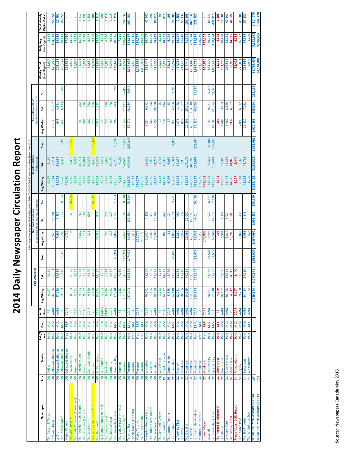# 2014 Daily Newspaper Circulation Report **2014 Daily Newspaper Circulation Report**

|                                    |                |                    |              |                  |                          |                   |                   |           | AAM Snapshot      | Non Paid Circulation                  |         |                   | nonths ending December 2014<br>Total Circulation |           |                   | Digital Circulation <sup>5</sup> |                                 |                               |                               |
|------------------------------------|----------------|--------------------|--------------|------------------|--------------------------|-------------------|-------------------|-----------|-------------------|---------------------------------------|---------|-------------------|--------------------------------------------------|-----------|-------------------|----------------------------------|---------------------------------|-------------------------------|-------------------------------|
|                                    |                |                    |              |                  |                          |                   | Paid Circulation  |           |                   | (Qualified/Sponsored/Free/Controlled) |         |                   | (Print/Digital                                   |           |                   | already included in Total Circ)  |                                 |                               |                               |
| Newspape                           | Prov           | Market             | Paid/<br>ree | Freq.            | Audit<br>Basis           | Avg Wkday         | Sat               | Sun       | Avg Wkday         | Sat                                   | 5       | Avg Wkday         | Sat                                              | Sun       | Avg Wkday         | Sun<br>Sat                       | (Print/Digital)<br>Weekly Total | (Print/Digital)<br>Daily Avg. | Digital ONLY*<br>Total Weekly |
| The Packet & Times                 | š              | <b>Orillia</b>     | Paid         | $M-Sa$           | 2q                       | 9,157             | 6,139             |           |                   |                                       |         | 9,157             | 6,139                                            |           |                   |                                  | 51,924                          | 8,654                         |                               |
| Ottawa Citizen                     | š              | Ottawa/Gatineau    | Paid         | $M-Sa$           | <b>AAM</b>               | 76,086            | 86,901            |           | 29,528            | 11,304                                |         | 105,614           | 98,204                                           |           | 28,833            | 11,787                           | 626,272                         | 104,379                       | 155,950                       |
| e Droit                            | š              | Ottawa/Gatineau    | Paid         | $M-Sa$           | <b>AAM</b>               | 27,150            | 29,532            |           | 7,605             | 1,832                                 |         | 34,755            | 31,364                                           |           | 4,648             | 4,511                            | 205,136                         | 34,189                        | 27,751                        |
| The Ottawa Sun ~                   | š              | Ottawa/Gatineau    | Paid         | $M-Su$           | CCAB                     | 29,069            | 25,449            | 27,332    | 10,201            | 9,022                                 | 8,624   | 39,270            | 34,471                                           | 35,956    | 6,693             | 6,481<br>6,413                   | 266,777                         | 38,111                        | 46,359                        |
| Metro Ottawa                       | $\overline{6}$ | Ottawa/Gatineau    | Free         | $\frac{1}{2}$    | <b>CCAB</b>              |                   |                   |           | 47,730            |                                       |         | 47,730            |                                                  |           |                   |                                  | 238,651                         | 47,730                        |                               |
| "he Sun Times"                     | š              | Owen Sound         | Paid         | $M-Sa$           | R                        | 8,983             | 8,973             |           | 57                | <b>109</b>                            | 30,275  | 9,020             | 9,082                                            | 30,275    |                   |                                  | 84,457                          | 14,076                        |                               |
| The Daily Observer (Pembroke)~     | š              | Pembroke           | Paid         | $T-Sa$           | CCAB                     | 3,331             | 3,331             |           |                   |                                       |         | 3,331             | 3,331                                            |           |                   |                                  | 16,655                          | 3,331                         |                               |
| The Peterborough Examiner          | る              | Peterborough       | Paid         | $M-Sa$           | CCAB                     | 9,653             | 9,941             |           | 6,667             | 760                                   |         | 16,320            | 10,701                                           |           | 703               | 702                              | 92,301                          | 15,384                        | 4,217                         |
| The Observer (Samia)               | š              | Sarnia             | Paid         | $M-Sa$           | CCAB                     | 9,067             | 9,907             |           | 111               | 107                                   |         | 9,178             | 10,014                                           |           | 391               | 376                              | 55,904                          | 9,317                         | 2,331                         |
| The Sault Star~                    | š              | Sault Ste. Marie   | Paid         | M-Sa             | CCAB                     | 9,550             | 9,629             |           | 321               | 696                                   |         | 9,871             | 10,325                                           |           | 307               | 298                              | 59,680                          | 9,947                         | 1,833                         |
| The Simcoe Reformer^^ ~            | š              | Simcoe             | Paid         | T-Sa             | Sd                       | 4,400             | 4,400             |           |                   |                                       | 25,341  | 4,400             | 4,400                                            | 25,341    | 116               | 116                              | 47,341                          | 9,468                         | 580                           |
| The Standard <sup>~</sup>          | る              | St. Catharines     | Paid         | $M-Sa$           | CCAB                     | 13,344            | 14,485            |           | 11,388            | 816                                   |         | 24,732            | 15,301                                           |           | 1,021             | 1,012                            | 138,961                         | 23,160                        | 6,117                         |
| St. Thomas Times-Journal           | š              | St. Thomas         | Paid         | T-Sa             | CMCA                     | 3,293             | 3,293             |           |                   |                                       |         | 3,293             | 3,293                                            |           | 149               |                                  | 16,465                          | 3,293                         | 596                           |
| The Beacon Herald                  | š              | Stratford          | Paid         | $M-Sa$           | CMCA                     | 6,444             | 6,444             |           | 236               | 236                                   |         | 6,680             | 6,680                                            |           | 236               | 236                              | 40,080                          | 6,680                         | 1,416                         |
| The Sudbury Star                   | š              | Sudbury            | Paid         | $N-Sa$           | <b>CCAB</b>              | 9,113             | 9,852             |           | 338               | 328                                   |         | 9,451             | 10,180                                           |           | 489               | 470                              | 57,435                          | 9,573                         | 2,915                         |
| The Chronicle-Journa               | š              | Thunder Bay        | Paid         | $M-Su$           | <b>AAM</b>               | 17,218            | 18,901            | 16,914    | 3,847             | 1,349                                 | 1,193   | 21,065            | 20,250                                           | 18,107    | 202               | 203                              | 143,679<br>203                  | 20,526                        | 1,416                         |
| The Daily Press (Timmins)          | $\overline{6}$ | <b>Timmins</b>     | Paid         | $M-Sa$           | ρS                       | 7,118             | 7,136             |           |                   |                                       |         | 7,118             | 7,136                                            |           |                   |                                  | 42,726                          | 7,121                         |                               |
| The Toronto Sun                    | š              | Toronto            | Paid         | M-Su             | CCAB                     | 101,620           | 94,098            | 112,991   | 32,646            | 30,507                                | 58,648  | 134,266           | 124,605                                          | 171,639   | 21,747            | 22,855<br>22,442                 | 967,574                         | 138,225                       | 154,032                       |
| <b>Toronto Star</b>                | $\overline{6}$ | <b>Toronto</b>     | Paid         | $M-Su$           | CCAB                     | 237,141           | 339,851           | 247,435   | 95,659            | 100,591                               | 45,814  | 332,800           | 440,442                                          | 293,249   | 53,971            | 48,641<br>48,984                 | 2,397,691                       | 342,527                       | 367,480                       |
| Epoch Times (Toronto)              | š              | <b>Toronto</b>     | Free         | $\frac{4}{5}$    | CCAB                     |                   |                   |           | 13,511            |                                       |         | 13,511            |                                                  |           |                   |                                  | 67,555                          | 13,511                        |                               |
| Metro Toronto                      | š              | Toronto            | Free         | $\frac{4}{5}$    | CCAB                     |                   |                   |           | 220,777           |                                       |         | 220,777           |                                                  |           |                   |                                  | 1,103,886                       | 220,777                       |                               |
| 24 Hours Toronto <sup>~</sup>      | š              | <b>Toronto</b>     | Free         | $\frac{4}{5}$    | CCAB                     |                   |                   |           | 219,199           |                                       |         | 219,199           |                                                  |           |                   |                                  | 1,095,994                       | 219,199                       |                               |
| <b>Naterloo Region Record</b>      | $\overline{6}$ | Waterloo           | Paid         | $M-Sa$           | CCAB                     | 46,171            | 48,107            |           | 10,424            | 7,359                                 |         | 56,595            | 55,466                                           |           | 8,234             | 6,371                            | 338,441                         | 56,407                        | 47,541                        |
| The Tribune (Welland)              | $\overline{6}$ | Welland            | Paid         | $M-Sa$           | CCAB                     | 7,495             | 7,589             |           | 3,465             | 373                                   |         | 10,960            | 7,962                                            |           | 566               | 566                              | 62,762                          | 10,460                        | 3,396                         |
| The Windsor Star                   | š              | Windsor            | Paid         | $M-Sa$           | <b>AAM</b>               | 39,739            | 43,778            |           | 14,380            | 10,989                                |         | 54,119            | 54,767                                           |           | 13,990            | 10,468                           | 325,360                         | 54,227                        | 80,415                        |
| The Sentinel-Review~               | š              | Woodstock          | Paid         | $N-Sa$           | <b>PS</b>                | 3,713             | 3,713             |           |                   |                                       |         | 3,713             | 3,713                                            |           | $\frac{15}{2}$    | $\frac{15}{2}$                   | 22,278                          | 3,713                         | <u>ន</u>                      |
| The Guardian                       | 뿐              | Charlottetown      | Paid         | $M-Sa$           | <b>CCAB</b>              | 14,022            | 14,921            |           | 896               | 447                                   |         | 14,918            | 15,368                                           |           | 137               | 134                              | 89,958                          | 14,993                        | 819                           |
| The Journal-Pioneer                | 뿐              | Summerside         | Paid         | $M-Sa$           | <b>CCAB</b>              | 5,835             | 5,965             |           | 181               | 124                                   |         | 6,016             | 6,089                                            |           | ွ                 | 33                               | 36,169                          | 6,028                         | <b>98</b>                     |
| Le Quotidien                       | g              | Chicoutim          | Paid         | $M-Su$           | <b>AAM</b>               | 24,440            | 23,688            | 28,605    | 1,829             | 2,624                                 | 3,271   | 26,268            | 26,311                                           | 31,876    | 3,933             | 3,786<br>4,136                   | 189,527                         | 27,075                        | 27,587                        |
| La Voix de l'Est                   | ă              | Granby             | Paid         | $N-Sa$           | <b>AAM</b>               | 12,231            | 13,781            |           | 3,867             | 497                                   |         | 16,098            | 14,277                                           |           | 1,276             | 1,478                            | 94,765                          | 15,794                        | 7,858                         |
| Le Devoir                          | g              | Montreal           | Paid         | $M-Sa$           | <b>AAM</b>               | 28,505            | 47,218            |           | 3,557             | 6,737                                 |         | 32,062            | 53,955                                           |           | 8,822             | 11,027                           | 214,263                         | 35,710                        | 55,137                        |
| The Gazette<br>La Presse           | ă<br>ă         | Montrea<br>Montrea | Paid<br>Paid | $M-Sa$<br>$M-Sa$ | <b>AAM</b><br><b>AAM</b> | 60,559<br>132,662 | 79,115<br>183,335 |           | 28,095<br>146,170 | 25,060<br>156,950                     |         | 88,654<br>278,832 | 104,175<br>340,285                               |           | 26,366<br>143,318 | 153,340<br>25,141                | 547,445<br>1,734,445            | 91,241<br>289,074             | 156,968<br>869,930            |
| e Journal de Montréa               | g              | Montreal           | Paid         | $M-Su$           | CCAB                     | 180,332           | 195,943           | 182,625   | 51,805            | 48,014                                | 46,459  | 232,137           | 243,957                                          | 229,084   | 39,820            | 39,397<br>40,290                 | 1,633,726                       | 233,389                       | 278,78                        |
| Montreal 24 heures                 | ă              | Montreal           | Free         | $\frac{4}{5}$    | CCAB                     |                   |                   |           | 150,239           |                                       |         | 150,239           |                                                  |           |                   |                                  | 751,193                         | 150,239                       |                               |
| ournal Metro                       | ă              | Montreal           | Free         | $\frac{4}{5}$    | CCAB                     |                   |                   |           | 172,002           |                                       |         | 172,002           |                                                  |           |                   |                                  | 860,010                         | 172,002                       |                               |
| Le Soleil                          | ă              | Quebec City        | Paid         | $M-Su$           | <b>AAM</b>               | 68,881            | 81,452            | 73,502    | 6,493             | 14,922                                | 6,567   | 75,374            | 96,374                                           | 80,068    | 9,159             | 9,233<br>9,251                   | 553,309                         | 79,044                        | 64,277                        |
| Le Journal de Québec               | g              | Quebec City        | Paid         | $M-Su$           | CCAB                     | 82,048            | 89,989            | 82,537    | 67,587            | 67,673                                | 67,116  | 149,635           | 157,662                                          | 149,653   | 61,683            | 61,326<br>61,374                 | 1,055,490                       | 150,784                       | 431,115                       |
| The Record (Sherbrooke)            | g              | Sherbrooke         | Paid         | $\frac{1}{2}$    | ρS                       | 4,149             |                   |           | 195               |                                       |         | 4,343             |                                                  |           | 261               |                                  | 21,715                          | 4,343                         | 1,305                         |
| La Tribune                         | ď              | Sherbrooke         | Paid         | $M-Sa$           | <b>AAM</b>               | 26,192            | 32,180            |           | 3,504             | 1,131                                 |         | 29,695            | 33,310                                           |           | 1,688             | 3,163                            | 181,785                         | 30,298                        | 11,600                        |
| Le Nouvelliste                     | g              | Trois-Rivieres     | Paid         | $N-Sa$           | <b>AAM</b>               | 36,428            | 38,311            |           | 6,019             | 6,024                                 |         | 42,446            | 44,335                                           |           | 6,467             | 8,815                            | 256,565                         | 42,761                        | 41,147                        |
| he Times-Herald                    | $\frac{8}{5}$  | Moose Jaw          | Paid         | $M-Sa$           | ష                        | 4,042             | 4,042             |           | 10,783            | 10,783                                |         | 14,825            | 14,825                                           |           | 6,937             | 6,937                            | 88,950                          | 14,825                        | 41,622                        |
| Prince Albert Daily Herald         | SK             | Prince Albert      | Paid         | $N-Sa$           | CCAB                     | 5,197             | 5,440             |           |                   |                                       |         | 5,197             | 5,440                                            |           |                   |                                  | 31,425                          | 5,238                         |                               |
| The Leader-Post                    | s <sub>k</sub> | Regina             | Paid         | $M-Sa$           | <b>AAM</b>               | 29,700            | 31,896            |           | 6,841             | 5,431                                 |         | 36,541            | 37,326                                           |           | 7,899             | 6,312                            | 220,031                         | 36,672                        | 45,804                        |
| The StarPhoenix                    | $S_{\rm K}$    | Saskatoon          | Paid         | $M-Sa$           | <b>AAM</b>               | 34,494            | 37,580            |           | 9,099             | 6,148                                 |         | 43,593            | 43,728                                           |           | 10,120            | 7,221                            | 261,691                         | 43,615                        | 57,821                        |
| The Whitehorse Star                | ¥              | Whitehorse         | Paid         | $\frac{4}{2}$    | <b>AAM</b>               | 1,372             |                   |           | 427               |                                       |         | 1,799             |                                                  |           |                   |                                  | 8,993                           | 1,799                         |                               |
| <b>FOTAL DAILY NEWSPAPERS 2014</b> | 104            |                    |              |                  |                          | 2,739,364         | 3,070,971         | 1,032,024 | 2,487,092         | 1,058,332                             | 358,670 | 5,226,455         | 4,129,303                                        | 1,383,693 | 1,020,268         | 283,151<br>935,964               | 31,765,434                      | 5,312,018                     | 6,314,075                     |
| <b>LOLAT DAITA MEMSPARESS SUS</b>  | $\frac{2}{3}$  |                    |              |                  |                          |                   |                   |           |                   |                                       |         |                   |                                                  |           |                   |                                  | 34,101,802                      | 5,716,636                     | 5,862,720                     |
|                                    |                |                    |              |                  |                          |                   |                   |           |                   |                                       |         |                   |                                                  |           |                   |                                  |                                 |                               |                               |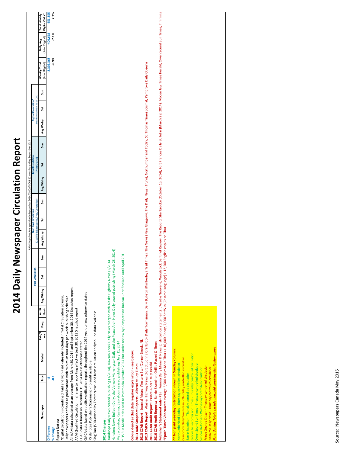|                                                                                                                                                                                                                                                                                                                                                                                                                                                                                                             |           |                  |     |           |                                                               |      |           | AAM Snapshot Average March-September 2014/CMCA/CCAB 12 months ending December 2014                                                  |     |           |                                                         |     |                                 |                               |                                      |
|-------------------------------------------------------------------------------------------------------------------------------------------------------------------------------------------------------------------------------------------------------------------------------------------------------------------------------------------------------------------------------------------------------------------------------------------------------------------------------------------------------------|-----------|------------------|-----|-----------|---------------------------------------------------------------|------|-----------|-------------------------------------------------------------------------------------------------------------------------------------|-----|-----------|---------------------------------------------------------|-----|---------------------------------|-------------------------------|--------------------------------------|
|                                                                                                                                                                                                                                                                                                                                                                                                                                                                                                             |           | Paid Circulation |     |           | (Qualified/Sponsored/Free/Controlled)<br>Non Paid Circulation |      |           | <b>Total Circulation</b><br>(Print/Digital)                                                                                         |     |           | (already included in Total Circ)<br>Digital Circulation |     |                                 |                               |                                      |
| <b>Audit</b><br>Basis<br>Freq.<br>Paid/F<br>ree<br>Market<br>Prov<br>Newspaper                                                                                                                                                                                                                                                                                                                                                                                                                              | Avg Wkday | ä                | Sun | Avg Wkday | Sat                                                           | Sur, | Avg Wkday | Sat                                                                                                                                 | Sun | Avg Wkday | Sat                                                     | Sun | Weekly Total<br>(Print/Digital) | (Print/Digital)<br>Daily Avg. | <b>Total Weekly</b><br>Digital ONLY* |
| $\frac{1}{9}$<br>۴<br>Report Notes:<br><b>Difference</b><br>% Change                                                                                                                                                                                                                                                                                                                                                                                                                                        |           |                  |     |           |                                                               |      |           |                                                                                                                                     |     |           |                                                         |     | $-2,336,368$<br>$-6.9%$         | -404,618<br>$-7.1%$           | 451,355<br>7.7%                      |
| All AAM data calculated as an average from March 30, 2014 and September 30, 2014 Snapshot report.<br>Daily newspapers defined as publications with minimum four days per week publishing schedule<br>* Digital circulation is combined Paid and Non-Paid -already included in Total Circulation column.                                                                                                                                                                                                     |           |                  |     |           |                                                               |      |           |                                                                                                                                     |     |           |                                                         |     |                                 |                               |                                      |
| CMCA data based on audits/verification reports throughout the 2014 year, unless otherwise stated<br>AAM Qualified Circulation = change to reporting effective Sept 30, 2013 Snapshot report<br>CCAB data is based on December 31, 2014 unless otherwise stated<br>PS denotes Publisher's Statement - no audit available.                                                                                                                                                                                    |           |                  |     |           |                                                               |      |           |                                                                                                                                     |     |           |                                                         |     |                                 |                               |                                      |
| Sing Tao (50% owned by Torstar) excluded from circulation analysis - no data available                                                                                                                                                                                                                                                                                                                                                                                                                      |           |                  |     |           |                                                               |      |           |                                                                                                                                     |     |           |                                                         |     |                                 |                               |                                      |
| Nanaimo News Bulletin Daily, the Vernon Morningstar Daily and the Peace Arch News Daily ceased publishing (March 28, 2014)<br>35 Sun Media titles sold to Postmedia October 2014 but under review by Competition Bureau - not finalized until April 201<br>Kamloops Daily News ceased publishing (1/2014), Dawson Creek Daily News merged with Alaska Highway News (2/2014<br>Metro London, Regina, Saskatoon ceased publishing (July 11, 2014<br>2014 Changes:                                             |           |                  |     |           |                                                               |      |           |                                                                                                                                     |     |           |                                                         |     |                                 |                               |                                      |
| Colour denotes that data requires explanation - see below:                                                                                                                                                                                                                                                                                                                                                                                                                                                  |           |                  |     |           |                                                               |      |           |                                                                                                                                     |     |           |                                                         |     |                                 |                               |                                      |
| 2013 CMCA Report: Alaska Highway News (Fort St. John), Cranbrook Daily Townsman, Daily Bulletin (Kimberley),<br>2013 CCAB Report: Journal Metro, Western Star (Corner Brook, NL)<br>2013 AAM Snapshot Reports: Alberni Valley Times                                                                                                                                                                                                                                                                         |           |                  |     |           |                                                               |      |           | Trail Times, The News (New Glasgow), The Daily News (Truro), Northumberland Today, St. Thomas Times Journal, Pembroke Daily Observe |     |           |                                                         |     |                                 |                               |                                      |
| Publisher's Statement only (PS): Kenora Daily Miner & News (distribution statement), L'Acadie Nouvelle, Woodstock Sentinel Review, The Record, Sherbrooke (October 15, 2014), Fort Frances Daily Bulletin (March 28, 2014), Mo<br><b>^Epoch Times Vancouver:</b> average 5,500 copies Mon-Thurs + 16,000 Friday, 7,000 Sat/Sun (Chinese language) + 12,500 English copies on Thur<br>2010 CCAB Audit Reports: Barrie Examiner, Orillia Packet & Times<br>2011 CCAB Audit Report: Prince Albert Daily Herald |           |                  |     |           |                                                               |      |           |                                                                                                                                     |     |           |                                                         |     |                                 |                               |                                      |
| AA Non paid weekday distribution shown in Sunday column:                                                                                                                                                                                                                                                                                                                                                                                                                                                    |           |                  |     |           |                                                               |      |           |                                                                                                                                     |     |           |                                                         |     |                                 |                               |                                      |
| Northumberland Today - Thursday controlled circulation                                                                                                                                                                                                                                                                                                                                                                                                                                                      |           |                  |     |           |                                                               |      |           |                                                                                                                                     |     |           |                                                         |     |                                 |                               |                                      |
| Cranbrook Daily Townsman - Thursday controlled circulatior<br>Barrie Examiner - Thursday controlled circulation                                                                                                                                                                                                                                                                                                                                                                                             |           |                  |     |           |                                                               |      |           |                                                                                                                                     |     |           |                                                         |     |                                 |                               |                                      |
| Brockville Recorder and Times - Thursday controlled circulation<br>Owen Sound Sun Times - Thursday controlled dirculation                                                                                                                                                                                                                                                                                                                                                                                   |           |                  |     |           |                                                               |      |           |                                                                                                                                     |     |           |                                                         |     |                                 |                               |                                      |
| Simcoe Reformer - Wednesday controlled circulation                                                                                                                                                                                                                                                                                                                                                                                                                                                          |           |                  |     |           |                                                               |      |           |                                                                                                                                     |     |           |                                                         |     |                                 |                               |                                      |
| Prince George Citizen - Thursday controlled circulation<br>Nanaimo Daily News - Thursday controlled circulation                                                                                                                                                                                                                                                                                                                                                                                             |           |                  |     |           |                                                               |      |           |                                                                                                                                     |     |           |                                                         |     |                                 |                               |                                      |
| Note: Sunday Totals exclude non paid weekday distribution above.                                                                                                                                                                                                                                                                                                                                                                                                                                            |           |                  |     |           |                                                               |      |           |                                                                                                                                     |     |           |                                                         |     |                                 |                               |                                      |

2014 Daily Newspaper Circulation Report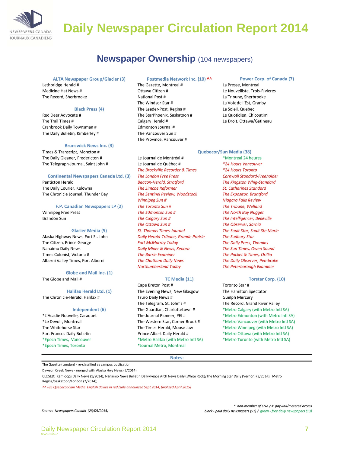

#### **Newspaper Ownership** (104 newspapers)

#### **ALTA Newspaper Group/Glacier (3)**

Lethbridge Herald # Medicine Hat News # The Record, Sherbrooke

#### **Black Press (4)**

Red Deer Advocate # The Trail Times # Cranbrook Daily Townsman # The Daily Bulletin, Kimberley #

#### **Brunswick News Inc. (3)**

Times & Transcript, Moncton # The Daily Gleaner, Fredericton # The Telegraph-Journal, Saint John #

#### **Continental Newspapers Canada Ltd. (3)**

**Penticton Herald** The Daily Courier, Kelowna The Chronicle Journal, Thunder Bay

#### F.P. Canadian Newspapers LP (2)

**Winnipeg Free Press Brandon Sun** 

#### **Glacier Media (5)**

Alaska Highway News, Fort St. John The Citizen, Prince George Nanaimo Daily News Times Colonist, Victoria # Alberni Valley Times, Port Alberni

#### Globe and Mail Inc. (1)

The Globe and Mail #

#### Halifax Herald Ltd. (1)

The Chronicle-Herald, Halifax #

#### Independent (6)

\*L'Acadie Nouvelle, Caraquet \*Le Devoir, Montreal The Whitehorse Star Fort Frances Daily Bulletin \*Epoch Times, Vancouver \*Epoch Times, Toronto

#### Postmedia Network Inc. (10) ^^

The Gazette, Montreal # Ottawa Citizen # **National Post #** The Windsor Star # The Leader-Post, Regina # The StarPhoenix, Saskatoon # Calgary Herald # Edmonton Journal # The Vancouver Sun # The Province, Vancouver #

Le Journal de Montréal #

#### **Power Corp. of Canada (7)**

La Presse, Montreal Le Nouvelliste, Trois-Rivieres La Tribune, Sherbrooke La Voix de l'Est, Granby Le Soleil, Quebec Le Quotidien, Chicoutimi Le Droit, Ottawa/Gatineau

#### Quebecor/Sun Media (38)

Le Journal de Québec # The Brockville Recorder & Times The London Free Press **Beacon-Herald, Stratford The Simcoe Reformer** The Sentinel Review, Woodstock Winnipeg Sun # The Toronto Sun # The Edmonton Sun # The Calgary Sun # The Ottawa Sun # **St. Thomas Times-Journal** Daily Herald-Tribune, Grande Prairie **Fort McMurray Today** Daily Miner & News, Kenora **The Barrie Examiner The Chatham Daily News Northumberland Today** 

#### TC Media (11)

Cape Breton Post # The Evening News, New Glasgow Truro Daily News # The Telegram, St. John's # The Guardian, Charlottetown # The Journal Pioneer, PEI # The Western Star, Corner Brook # The Times-Herald, Moose Jaw Prince Albert Daily Herald # \*Metro Halifax (with Metro Intl SA) \*Journal Metro, Montreal

Notes:

\*Montreal 24 heures \*24 Hours Vancouver \*24 Hours Toronto **Cornwall Standard-Freeholder** The Kingston Whig-Standard **St. Catharines Standard The Expositor, Brantford Niagara Falls Review** The Tribune, Welland **The North Bay Nugget** The Intelligencer, Belleville The Observer, Sarnia The Sault Star, Sault Ste Marie **The Sudbury Star** The Daily Press, Timmins The Sun Times, Owen Sound The Packet & Times, Orillia The Daily Observer, Pembroke The Peterborough Examiner

#### **Torstar Corp. (10)**

Toronto Star # The Hamilton Spectator **Guelph Mercury** The Record, Grand River Valley \*Metro Calgary (with Metro Intl SA) \*Metro Edmonton (with Metro Intl SA) \*Metro Vancouver (with Metro Intl SA) \*Metro Winnipeg (with Metro Intl SA) \*Metro Ottawa (with Metro Intl SA) \*Metro Toronto (with Metro Intl SA)

The Gazette (London) - re-classified as campus publication

Dawson Creek News - merged with Alaska Hwy News (2/2014)

CLOSED: Kamloops Daily News (1/2014); Nanaimo News Bulletin Daily/Peace Arch News Daily (White Rock)/The Morning Star Daily (Vernon) (3/2014); Metro Regina/Saskatoon/London (7/2014);

^^ +35 Quebecor/Sun Media English dailies in red (sale announced Sept 2014, finalized April 2015)

\* non-member of CNA / # paywall/metered access black - paid daily newspapers (91) / green - free daily newspapers (13)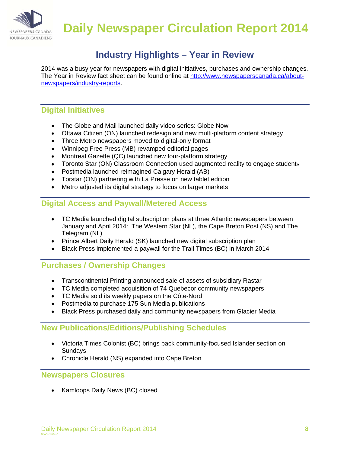

#### **Industry Highlights – Year in Review**

2014 was a busy year for newspapers with digital initiatives, purchases and ownership changes. The Year in Review fact sheet can be found online at http://www.newspaperscanada.ca/aboutnewspapers/industry-reports.

#### **Digital Initiatives**

- The Globe and Mail launched daily video series: Globe Now
- Ottawa Citizen (ON) launched redesign and new multi-platform content strategy
- Three Metro newspapers moved to digital-only format
- Winnipeg Free Press (MB) revamped editorial pages
- Montreal Gazette (QC) launched new four-platform strategy
- Toronto Star (ON) Classroom Connection used augmented reality to engage students
- Postmedia launched reimagined Calgary Herald (AB)
- Torstar (ON) partnering with La Presse on new tablet edition
- Metro adjusted its digital strategy to focus on larger markets

#### **Digital Access and Paywall/Metered Access**

- TC Media launched digital subscription plans at three Atlantic newspapers between January and April 2014: The Western Star (NL), the Cape Breton Post (NS) and The Telegram (NL)
- Prince Albert Daily Herald (SK) launched new digital subscription plan
- Black Press implemented a paywall for the Trail Times (BC) in March 2014

#### **Purchases / Ownership Changes**

- Transcontinental Printing announced sale of assets of subsidiary Rastar
- TC Media completed acquisition of 74 Quebecor community newspapers
- TC Media sold its weekly papers on the Côte-Nord
- Postmedia to purchase 175 Sun Media publications
- Black Press purchased daily and community newspapers from Glacier Media

#### **New Publications/Editions/Publishing Schedules**

- Victoria Times Colonist (BC) brings back community-focused Islander section on Sundays
- Chronicle Herald (NS) expanded into Cape Breton

#### **Newspapers Closures**

• Kamloops Daily News (BC) closed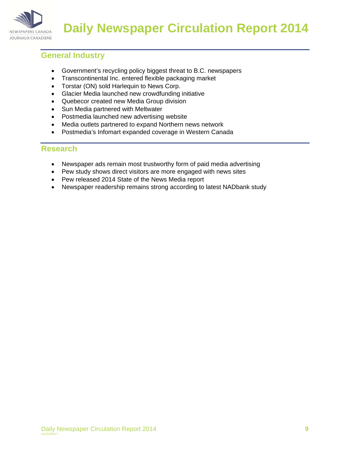

#### **General Industry**

- Government's recycling policy biggest threat to B.C. newspapers
- Transcontinental Inc. entered flexible packaging market
- Torstar (ON) sold Harlequin to News Corp.
- Glacier Media launched new crowdfunding initiative
- Quebecor created new Media Group division
- Sun Media partnered with Meltwater
- Postmedia launched new advertising website
- Media outlets partnered to expand Northern news network
- Postmedia's Infomart expanded coverage in Western Canada

#### **Research**

- Newspaper ads remain most trustworthy form of paid media advertising
- Pew study shows direct visitors are more engaged with news sites
- Pew released 2014 State of the News Media report
- Newspaper readership remains strong according to latest NADbank study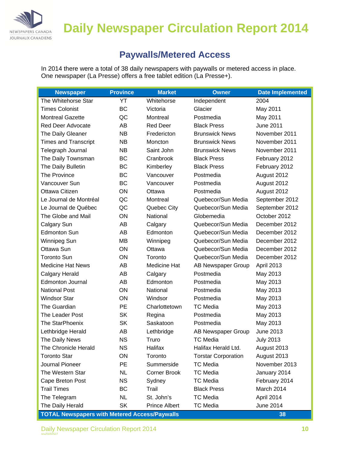

#### **Paywalls/Metered Access**

In 2014 there were a total of 38 daily newspapers with paywalls or metered access in place. One newspaper (La Presse) offers a free tablet edition (La Presse+).

| <b>Newspaper</b>                                     | <b>Province</b> | <b>Market</b>        | <b>Owner</b>               | <b>Date Implemented</b> |
|------------------------------------------------------|-----------------|----------------------|----------------------------|-------------------------|
| The Whitehorse Star                                  | YT              | Whitehorse           | Independent                | 2004                    |
| <b>Times Colonist</b>                                | <b>BC</b>       | Victoria             | Glacier                    | May 2011                |
| <b>Montreal Gazette</b>                              | QC              | Montreal             | Postmedia                  | May 2011                |
| <b>Red Deer Advocate</b>                             | AB              | <b>Red Deer</b>      | <b>Black Press</b>         | <b>June 2011</b>        |
| The Daily Gleaner                                    | <b>NB</b>       | Fredericton          | <b>Brunswick News</b>      | November 2011           |
| <b>Times and Transcript</b>                          | <b>NB</b>       | Moncton              | <b>Brunswick News</b>      | November 2011           |
| Telegraph Journal                                    | <b>NB</b>       | Saint John           | <b>Brunswick News</b>      | November 2011           |
| The Daily Townsman                                   | <b>BC</b>       | Cranbrook            | <b>Black Press</b>         | February 2012           |
| The Daily Bulletin                                   | <b>BC</b>       | Kimberley            | <b>Black Press</b>         | February 2012           |
| The Province                                         | <b>BC</b>       | Vancouver            | Postmedia                  | August 2012             |
| Vancouver Sun                                        | BC              | Vancouver            | Postmedia                  | August 2012             |
| Ottawa Citizen                                       | ON              | Ottawa               | Postmedia                  | August 2012             |
| Le Journal de Montréal                               | QC              | Montreal             | Quebecor/Sun Media         | September 2012          |
| Le Journal de Québec                                 | QC              | Quebec City          | Quebecor/Sun Media         | September 2012          |
| The Globe and Mail                                   | ON              | National             | Globemedia                 | October 2012            |
| Calgary Sun                                          | AB              | Calgary              | Quebecor/Sun Media         | December 2012           |
| <b>Edmonton Sun</b>                                  | AB              | Edmonton             | Quebecor/Sun Media         | December 2012           |
| Winnipeg Sun                                         | MB              | Winnipeg             | Quebecor/Sun Media         | December 2012           |
| Ottawa Sun                                           | ON              | Ottawa               | Quebecor/Sun Media         | December 2012           |
| <b>Toronto Sun</b>                                   | ON              | Toronto              | Quebecor/Sun Media         | December 2012           |
| <b>Medicine Hat News</b>                             | AB              | Medicine Hat         | AB Newspaper Group         | April 2013              |
| Calgary Herald                                       | AB              | Calgary              | Postmedia                  | May 2013                |
| <b>Edmonton Journal</b>                              | AB              | Edmonton             | Postmedia                  | May 2013                |
| <b>National Post</b>                                 | ON              | National             | Postmedia                  | May 2013                |
| <b>Windsor Star</b>                                  | ON              | Windsor              | Postmedia                  | May 2013                |
| The Guardian                                         | PE              | Charlottetown        | <b>TC</b> Media            | May 2013                |
| The Leader Post                                      | <b>SK</b>       | Regina               | Postmedia                  | May 2013                |
| The StarPhoenix                                      | <b>SK</b>       | Saskatoon            | Postmedia                  | May 2013                |
| Lethbridge Herald                                    | AB              | Lethbridge           | AB Newspaper Group         | <b>June 2013</b>        |
| The Daily News                                       | <b>NS</b>       | Truro                | <b>TC Media</b>            | <b>July 2013</b>        |
| The Chronicle Herald                                 | <b>NS</b>       | Halifax              | Halifax Herald Ltd.        | August 2013             |
| <b>Toronto Star</b>                                  | ON              | Toronto              | <b>Torstar Corporation</b> | August 2013             |
| Journal Pioneer                                      | <b>PE</b>       | Summerside           | <b>TC Media</b>            | November 2013           |
| The Western Star                                     | <b>NL</b>       | <b>Corner Brook</b>  | <b>TC</b> Media            | January 2014            |
| Cape Breton Post                                     | <b>NS</b>       | Sydney               | <b>TC Media</b>            | February 2014           |
| <b>Trail Times</b>                                   | BC              | Trail                | <b>Black Press</b>         | March 2014              |
| The Telegram                                         | <b>NL</b>       | St. John's           | <b>TC Media</b>            | April 2014              |
| The Daily Herald                                     | <b>SK</b>       | <b>Prince Albert</b> | <b>TC Media</b>            | <b>June 2014</b>        |
| <b>TOTAL Newspapers with Metered Access/Paywalls</b> |                 |                      |                            | 38                      |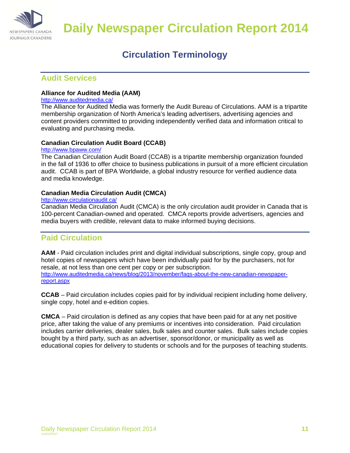

#### **Circulation Terminology**

#### **Audit Services**

#### **Alliance for Audited Media (AAM)**

#### http://www.auditedmedia.ca/

The Alliance for Audited Media was formerly the Audit Bureau of Circulations. AAM is a tripartite membership organization of North America's leading advertisers, advertising agencies and content providers committed to providing independently verified data and information critical to evaluating and purchasing media.

#### **Canadian Circulation Audit Board (CCAB)**

#### http://www.bpaww.com/

The Canadian Circulation Audit Board (CCAB) is a tripartite membership organization founded in the fall of 1936 to offer choice to business publications in pursuit of a more efficient circulation audit. CCAB is part of BPA Worldwide, a global industry resource for verified audience data and media knowledge.

#### **Canadian Media Circulation Audit (CMCA)**

#### http://www.circulationaudit.ca/

Canadian Media Circulation Audit (CMCA) is the only circulation audit provider in Canada that is 100-percent Canadian-owned and operated. CMCA reports provide advertisers, agencies and media buyers with credible, relevant data to make informed buying decisions.

#### **Paid Circulation**

**AAM** - Paid circulation includes print and digital individual subscriptions, single copy, group and hotel copies of newspapers which have been individually paid for by the purchasers, not for resale, at not less than one cent per copy or per subscription. http://www.auditedmedia.ca/news/blog/2013/november/faqs-about-the-new-canadian-newspaperreport.aspx

**CCAB** – Paid circulation includes copies paid for by individual recipient including home delivery, single copy, hotel and e-edition copies.

**CMCA** – Paid circulation is defined as any copies that have been paid for at any net positive price, after taking the value of any premiums or incentives into consideration. Paid circulation includes carrier deliveries, dealer sales, bulk sales and counter sales. Bulk sales include copies bought by a third party, such as an advertiser, sponsor/donor, or municipality as well as educational copies for delivery to students or schools and for the purposes of teaching students.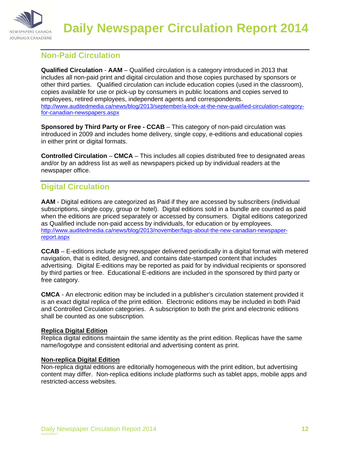

#### **Non-Paid Circulation**

**Qualified Circulation** - **AAM** – Qualified circulation is a category introduced in 2013 that includes all non-paid print and digital circulation and those copies purchased by sponsors or other third parties. Qualified circulation can include education copies (used in the classroom), copies available for use or pick-up by consumers in public locations and copies served to employees, retired employees, independent agents and correspondents. http://www.auditedmedia.ca/news/blog/2013/september/a-look-at-the-new-qualified-circulation-categoryfor-canadian-newspapers.aspx

**Sponsored by Third Party or Free - CCAB** – This category of non-paid circulation was introduced in 2009 and includes home delivery, single copy, e-editions and educational copies in either print or digital formats.

**Controlled Circulation** – **CMCA** – This includes all copies distributed free to designated areas and/or by an address list as well as newspapers picked up by individual readers at the newspaper office.

#### **Digital Circulation**

**AAM** - Digital editions are categorized as Paid if they are accessed by subscribers (individual subscriptions, single copy, group or hotel). Digital editions sold in a bundle are counted as paid when the editions are priced separately or accessed by consumers. Digital editions categorized as Qualified include non-paid access by individuals, for education or by employees. http://www.auditedmedia.ca/news/blog/2013/november/faqs-about-the-new-canadian-newspaperreport.aspx

**CCAB** – E-editions include any newspaper delivered periodically in a digital format with metered navigation, that is edited, designed, and contains date-stamped content that includes advertising. Digital E-editions may be reported as paid for by individual recipients or sponsored by third parties or free. Educational E-editions are included in the sponsored by third party or free category.

**CMCA** - An electronic edition may be included in a publisher's circulation statement provided it is an exact digital replica of the print edition. Electronic editions may be included in both Paid and Controlled Circulation categories. A subscription to both the print and electronic editions shall be counted as one subscription.

#### **Replica Digital Edition**

Replica digital editions maintain the same identity as the print edition. Replicas have the same name/logotype and consistent editorial and advertising content as print.

#### **Non-replica Digital Edition**

Non-replica digital editions are editorially homogeneous with the print edition, but advertising content may differ. Non-replica editions include platforms such as tablet apps, mobile apps and restricted-access websites.